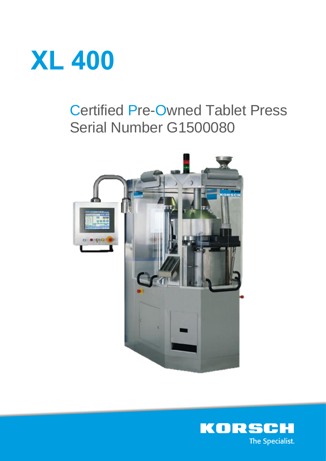

# Certified Pre-Owned Tablet Press Serial Number G1500080



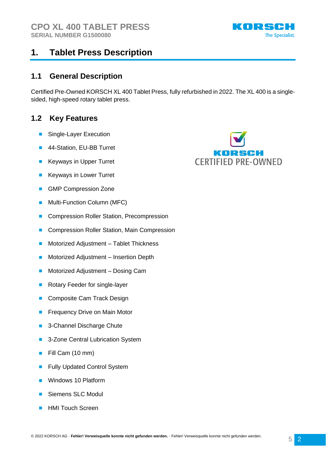

# **1. Tablet Press Description**

### **1.1 General Description**

Certified Pre-Owned KORSCH XL 400 Tablet Press, fully refurbished in 2022. The XL 400 is a singlesided, high-speed rotary tablet press.

### **1.2 Key Features**

- Single-Layer Execution
- 44-Station, EU-BB Turret
- **Keyways in Upper Turret**
- Keyways in Lower Turret
- GMP Compression Zone
- Multi-Function Column (MFC)
- Compression Roller Station, Precompression
- Compression Roller Station, Main Compression
- Motorized Adjustment Tablet Thickness
- Motorized Adjustment Insertion Depth
- Motorized Adjustment Dosing Cam
- Rotary Feeder for single-layer
- Composite Cam Track Design
- Frequency Drive on Main Motor
- 3-Channel Discharge Chute
- 3-Zone Central Lubrication System
- Fill Cam (10 mm)
- **Fully Updated Control System**
- Windows 10 Platform
- Siemens SLC Modul
- HMI Touch Screen

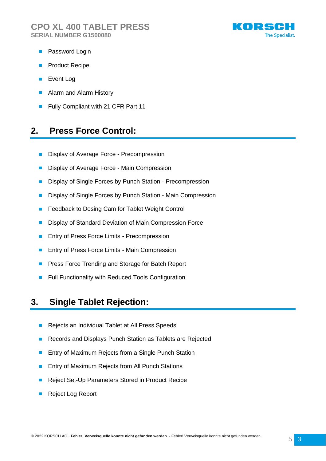

- Password Login
- Product Recipe
- Event Log
- Alarm and Alarm History
- Fully Compliant with 21 CFR Part 11

### **2. Press Force Control:**

- Display of Average Force Precompression
- Display of Average Force Main Compression
- Display of Single Forces by Punch Station Precompression
- Display of Single Forces by Punch Station Main Compression
- Feedback to Dosing Cam for Tablet Weight Control
- Display of Standard Deviation of Main Compression Force
- Entry of Press Force Limits Precompression
- Entry of Press Force Limits Main Compression
- Press Force Trending and Storage for Batch Report
- Full Functionality with Reduced Tools Configuration

### **3. Single Tablet Rejection:**

- Rejects an Individual Tablet at All Press Speeds
- Records and Displays Punch Station as Tablets are Rejected
- Entry of Maximum Rejects from a Single Punch Station
- Entry of Maximum Rejects from All Punch Stations
- Reject Set-Up Parameters Stored in Product Recipe
- Reject Log Report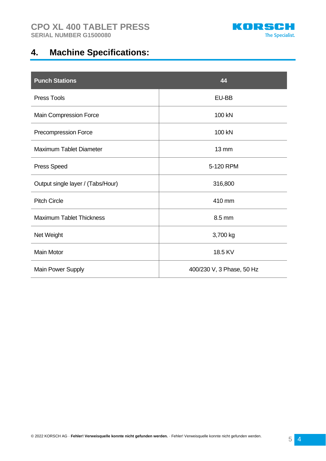

# **4. Machine Specifications:**

| <b>Punch Stations</b>             | 44                        |
|-----------------------------------|---------------------------|
| <b>Press Tools</b>                | EU-BB                     |
| Main Compression Force            | 100 kN                    |
| Precompression Force              | 100 kN                    |
| <b>Maximum Tablet Diameter</b>    | $13 \, \text{mm}$         |
| <b>Press Speed</b>                | 5-120 RPM                 |
| Output single layer / (Tabs/Hour) | 316,800                   |
| <b>Pitch Circle</b>               | 410 mm                    |
| <b>Maximum Tablet Thickness</b>   | 8.5 mm                    |
| Net Weight                        | 3,700 kg                  |
| <b>Main Motor</b>                 | 18.5 KV                   |
| Main Power Supply                 | 400/230 V, 3 Phase, 50 Hz |